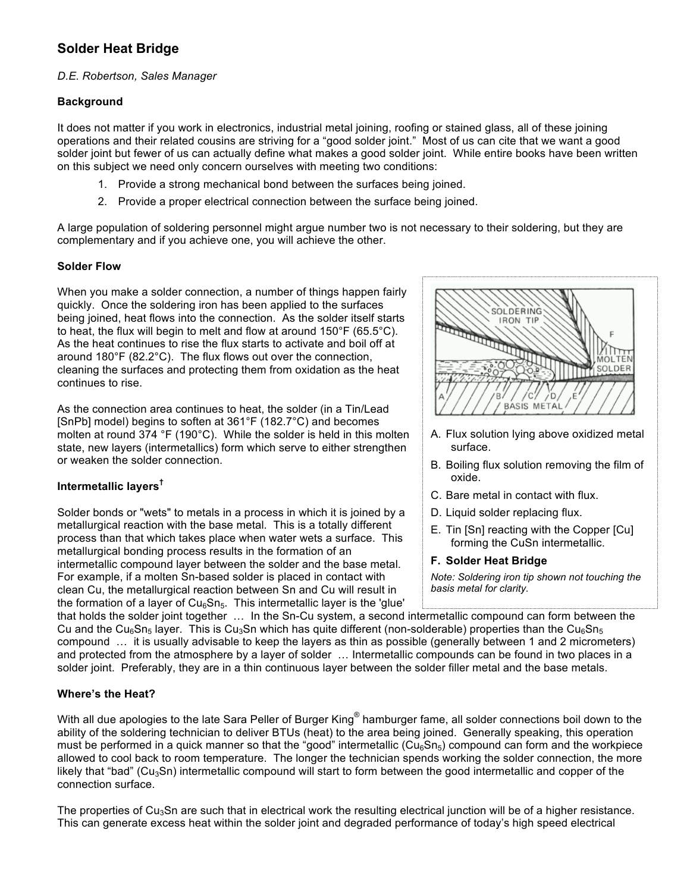# **Solder Heat Bridge**

#### *D.E. Robertson, Sales Manager*

#### **Background**

It does not matter if you work in electronics, industrial metal joining, roofing or stained glass, all of these joining operations and their related cousins are striving for a "good solder joint." Most of us can cite that we want a good solder joint but fewer of us can actually define what makes a good solder joint. While entire books have been written on this subject we need only concern ourselves with meeting two conditions:

- 1. Provide a strong mechanical bond between the surfaces being joined.
- 2. Provide a proper electrical connection between the surface being joined.

A large population of soldering personnel might argue number two is not necessary to their soldering, but they are complementary and if you achieve one, you will achieve the other.

## **Solder Flow**

When you make a solder connection, a number of things happen fairly quickly. Once the soldering iron has been applied to the surfaces being joined, heat flows into the connection. As the solder itself starts to heat, the flux will begin to melt and flow at around 150°F (65.5°C). As the heat continues to rise the flux starts to activate and boil off at around 180°F (82.2°C). The flux flows out over the connection, cleaning the surfaces and protecting them from oxidation as the heat continues to rise.

As the connection area continues to heat, the solder (in a Tin/Lead [SnPb] model) begins to soften at 361°F (182.7°C) and becomes molten at round 374 °F (190°C). While the solder is held in this molten state, new layers (intermetallics) form which serve to either strengthen or weaken the solder connection.

## **Intermetallic layers†**

Solder bonds or "wets" to metals in a process in which it is joined by a metallurgical reaction with the base metal. This is a totally different process than that which takes place when water wets a surface. This metallurgical bonding process results in the formation of an intermetallic compound layer between the solder and the base metal. For example, if a molten Sn-based solder is placed in contact with clean Cu, the metallurgical reaction between Sn and Cu will result in the formation of a layer of  $Cu<sub>6</sub>Sn<sub>5</sub>$ . This intermetallic layer is the 'glue'



- A. Flux solution lying above oxidized metal surface.
- B. Boiling flux solution removing the film of oxide.
- C. Bare metal in contact with flux.
- D. Liquid solder replacing flux.
- E. Tin [Sn] reacting with the Copper [Cu] forming the CuSn intermetallic.
- **F. Solder Heat Bridge**

*Note: Soldering iron tip shown not touching the basis metal for clarity.*

that holds the solder joint together … In the Sn-Cu system, a second intermetallic compound can form between the Cu and the Cu<sub>6</sub>Sn<sub>5</sub> layer. This is Cu<sub>3</sub>Sn which has quite different (non-solderable) properties than the Cu<sub>6</sub>Sn<sub>5</sub> compound … it is usually advisable to keep the layers as thin as possible (generally between 1 and 2 micrometers) and protected from the atmosphere by a layer of solder … Intermetallic compounds can be found in two places in a solder joint. Preferably, they are in a thin continuous layer between the solder filler metal and the base metals.

## **Where's the Heat?**

With all due apologies to the late Sara Peller of Burger King<sup>®</sup> hamburger fame, all solder connections boil down to the ability of the soldering technician to deliver BTUs (heat) to the area being joined. Generally speaking, this operation must be performed in a quick manner so that the "good" intermetallic  $(Cu_{6}Sn_{5})$  compound can form and the workpiece allowed to cool back to room temperature. The longer the technician spends working the solder connection, the more likely that "bad" (Cu<sub>3</sub>Sn) intermetallic compound will start to form between the good intermetallic and copper of the connection surface.

The properties of Cu<sub>3</sub>Sn are such that in electrical work the resulting electrical junction will be of a higher resistance. This can generate excess heat within the solder joint and degraded performance of today's high speed electrical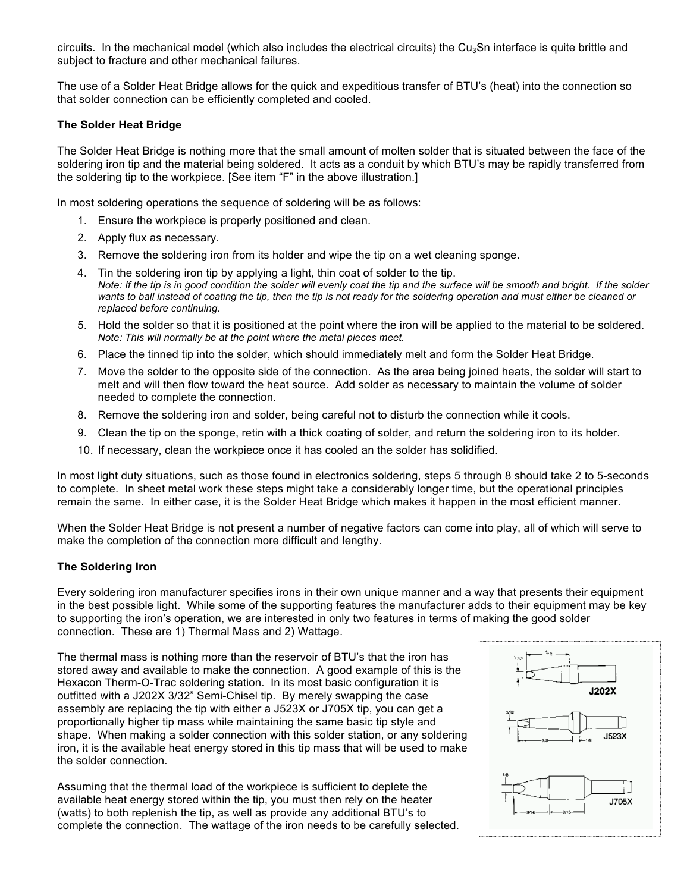circuits. In the mechanical model (which also includes the electrical circuits) the  $Cu<sub>3</sub>Sn$  interface is quite brittle and subject to fracture and other mechanical failures.

The use of a Solder Heat Bridge allows for the quick and expeditious transfer of BTU's (heat) into the connection so that solder connection can be efficiently completed and cooled.

#### **The Solder Heat Bridge**

The Solder Heat Bridge is nothing more that the small amount of molten solder that is situated between the face of the soldering iron tip and the material being soldered. It acts as a conduit by which BTU's may be rapidly transferred from the soldering tip to the workpiece. [See item "F" in the above illustration.]

In most soldering operations the sequence of soldering will be as follows:

- 1. Ensure the workpiece is properly positioned and clean.
- 2. Apply flux as necessary.
- 3. Remove the soldering iron from its holder and wipe the tip on a wet cleaning sponge.
- 4. Tin the soldering iron tip by applying a light, thin coat of solder to the tip. *Note: If the tip is in good condition the solder will evenly coat the tip and the surface will be smooth and bright. If the solder wants to ball instead of coating the tip, then the tip is not ready for the soldering operation and must either be cleaned or replaced before continuing.*
- 5. Hold the solder so that it is positioned at the point where the iron will be applied to the material to be soldered. *Note: This will normally be at the point where the metal pieces meet.*
- 6. Place the tinned tip into the solder, which should immediately melt and form the Solder Heat Bridge.
- 7. Move the solder to the opposite side of the connection. As the area being joined heats, the solder will start to melt and will then flow toward the heat source. Add solder as necessary to maintain the volume of solder needed to complete the connection.
- 8. Remove the soldering iron and solder, being careful not to disturb the connection while it cools.
- 9. Clean the tip on the sponge, retin with a thick coating of solder, and return the soldering iron to its holder.
- 10. If necessary, clean the workpiece once it has cooled an the solder has solidified.

In most light duty situations, such as those found in electronics soldering, steps 5 through 8 should take 2 to 5-seconds to complete. In sheet metal work these steps might take a considerably longer time, but the operational principles remain the same. In either case, it is the Solder Heat Bridge which makes it happen in the most efficient manner.

When the Solder Heat Bridge is not present a number of negative factors can come into play, all of which will serve to make the completion of the connection more difficult and lengthy.

#### **The Soldering Iron**

Every soldering iron manufacturer specifies irons in their own unique manner and a way that presents their equipment in the best possible light. While some of the supporting features the manufacturer adds to their equipment may be key to supporting the iron's operation, we are interested in only two features in terms of making the good solder connection. These are 1) Thermal Mass and 2) Wattage.

The thermal mass is nothing more than the reservoir of BTU's that the iron has stored away and available to make the connection. A good example of this is the Hexacon Therm-O-Trac soldering station. In its most basic configuration it is outfitted with a J202X 3/32" Semi-Chisel tip. By merely swapping the case assembly are replacing the tip with either a J523X or J705X tip, you can get a proportionally higher tip mass while maintaining the same basic tip style and shape. When making a solder connection with this solder station, or any soldering iron, it is the available heat energy stored in this tip mass that will be used to make the solder connection.

Assuming that the thermal load of the workpiece is sufficient to deplete the available heat energy stored within the tip, you must then rely on the heater (watts) to both replenish the tip, as well as provide any additional BTU's to complete the connection. The wattage of the iron needs to be carefully selected.